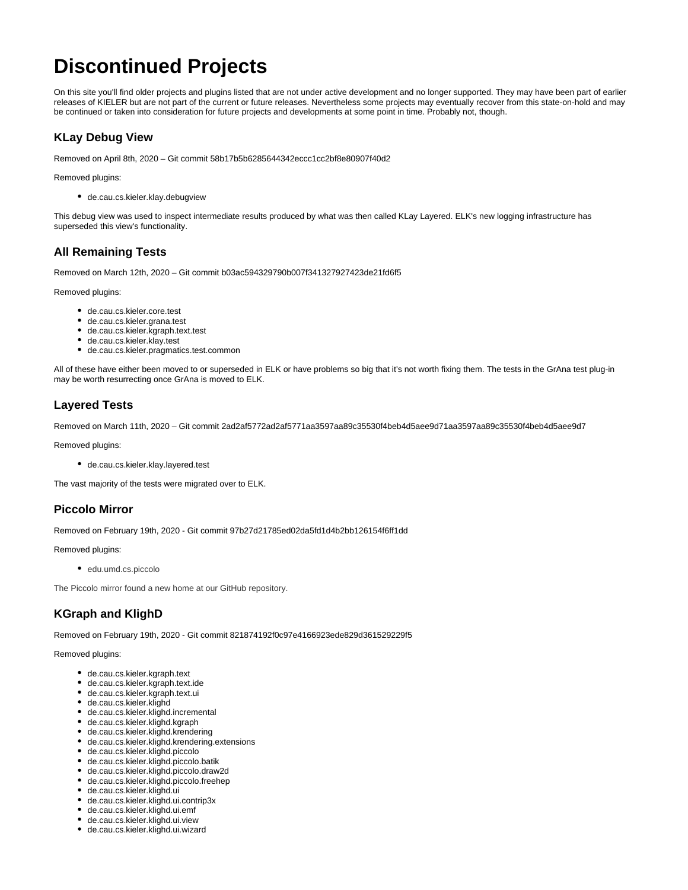# **Discontinued Projects**

On this site you'll find older projects and plugins listed that are not under active development and no longer supported. They may have been part of earlier releases of KIELER but are not part of the current or future releases. Nevertheless some projects may eventually recover from this state-on-hold and may be continued or taken into consideration for future projects and developments at some point in time. Probably not, though.

# **KLay Debug View**

Removed on April 8th, 2020 – Git commit 58b17b5b6285644342eccc1cc2bf8e80907f40d2

Removed plugins:

de.cau.cs.kieler.klay.debugview

This debug view was used to inspect intermediate results produced by what was then called KLay Layered. ELK's new logging infrastructure has superseded this view's functionality.

# **All Remaining Tests**

Removed on March 12th, 2020 – Git commit b03ac594329790b007f341327927423de21fd6f5

Removed plugins:

- de.cau.cs.kieler.core.test
- de.cau.cs.kieler.grana.test
- de.cau.cs.kieler.kgraph.text.test
- de.cau.cs.kieler.klay.test
- de.cau.cs.kieler.pragmatics.test.common

All of these have either been moved to or superseded in ELK or have problems so big that it's not worth fixing them. The tests in the GrAna test plug-in may be worth resurrecting once GrAna is moved to ELK.

# **Layered Tests**

Removed on March 11th, 2020 – Git commit 2ad2af5772ad2af5771aa3597aa89c35530f4beb4d5aee9d71aa3597aa89c35530f4beb4d5aee9d7

Removed plugins:

de.cau.cs.kieler.klay.layered.test

The vast majority of the tests were migrated over to ELK.

# **Piccolo Mirror**

Removed on February 19th, 2020 - Git commit 97b27d21785ed02da5fd1d4b2bb126154f6ff1dd

Removed plugins:

· edu.umd.cs.piccolo

The Piccolo mirror found a new home at our GitHub repository.

# **KGraph and KlighD**

Removed on February 19th, 2020 - Git commit 821874192f0c97e4166923ede829d361529229f5

- de.cau.cs.kieler.kgraph.text
- de.cau.cs.kieler.kgraph.text.ide
- de.cau.cs.kieler.kgraph.text.ui
- de.cau.cs.kieler.klighd
- de.cau.cs.kieler.klighd.incremental
- de.cau.cs.kieler.klighd.kgraph
- de.cau.cs.kieler.klighd.krendering
- de.cau.cs.kieler.klighd.krendering.extensions
- de.cau.cs.kieler.klighd.piccolo
- de.cau.cs.kieler.klighd.piccolo.batik
- de.cau.cs.kieler.klighd.piccolo.draw2d de.cau.cs.kieler.klighd.piccolo.freehep
- 
- de.cau.cs.kieler.klighd.ui de.cau.cs.kieler.klighd.ui.contrip3x
- de.cau.cs.kieler.klighd.ui.emf
- de.cau.cs.kieler.klighd.ui.view
- de.cau.cs.kieler.klighd.ui.wizard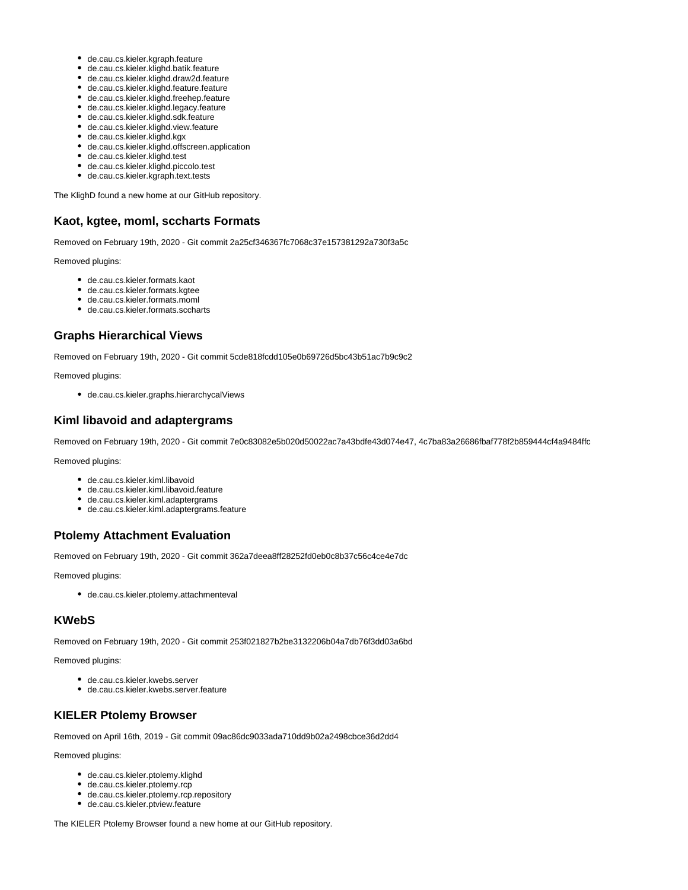- de.cau.cs.kieler.kgraph.feature
- de.cau.cs.kieler.klighd.batik.feature
- de.cau.cs.kieler.klighd.draw2d.feature
- de.cau.cs.kieler.klighd.feature.feature
- de.cau.cs.kieler.klighd.freehep.feature
- de.cau.cs.kieler.klighd.legacy.feature
- de.cau.cs.kieler.klighd.sdk.feature
- de.cau.cs.kieler.klighd.view.feature
- de.cau.cs.kieler.klighd.kgx
- de.cau.cs.kieler.klighd.offscreen.application
- de.cau.cs.kieler.klighd.test
- de.cau.cs.kieler.klighd.piccolo.test
- de.cau.cs.kieler.kgraph.text.tests

The KlighD found a new home at our GitHub repository.

#### **Kaot, kgtee, moml, sccharts Formats**

Removed on February 19th, 2020 - Git commit 2a25cf346367fc7068c37e157381292a730f3a5c

Removed plugins:

- de.cau.cs.kieler.formats.kaot
- de.cau.cs.kieler.formats.kgtee
- de.cau.cs.kieler.formats.moml
- de.cau.cs.kieler.formats.sccharts

#### **Graphs Hierarchical Views**

Removed on February 19th, 2020 - Git commit 5cde818fcdd105e0b69726d5bc43b51ac7b9c9c2

Removed plugins:

de.cau.cs.kieler.graphs.hierarchycalViews

## **Kiml libavoid and adaptergrams**

Removed on February 19th, 2020 - Git commit 7e0c83082e5b020d50022ac7a43bdfe43d074e47, 4c7ba83a26686fbaf778f2b859444cf4a9484ffc

Removed plugins:

- de.cau.cs.kieler.kiml.libavoid
- de.cau.cs.kieler.kiml.libavoid.feature
- de.cau.cs.kieler.kiml.adaptergrams
- de.cau.cs.kieler.kiml.adaptergrams.feature

#### **Ptolemy Attachment Evaluation**

Removed on February 19th, 2020 - Git commit 362a7deea8ff28252fd0eb0c8b37c56c4ce4e7dc

Removed plugins:

de.cau.cs.kieler.ptolemy.attachmenteval

# **KWebS**

Removed on February 19th, 2020 - Git commit 253f021827b2be3132206b04a7db76f3dd03a6bd

Removed plugins:

- de.cau.cs.kieler.kwebs.server
- de.cau.cs.kieler.kwebs.server.feature

#### **KIELER Ptolemy Browser**

Removed on April 16th, 2019 - Git commit 09ac86dc9033ada710dd9b02a2498cbce36d2dd4

Removed plugins:

- de.cau.cs.kieler.ptolemy.klighd
- de.cau.cs.kieler.ptolemy.rcp
- de.cau.cs.kieler.ptolemy.rcp.repository
- de.cau.cs.kieler.ptview.feature

The KIELER Ptolemy Browser found a new home at our GitHub repository.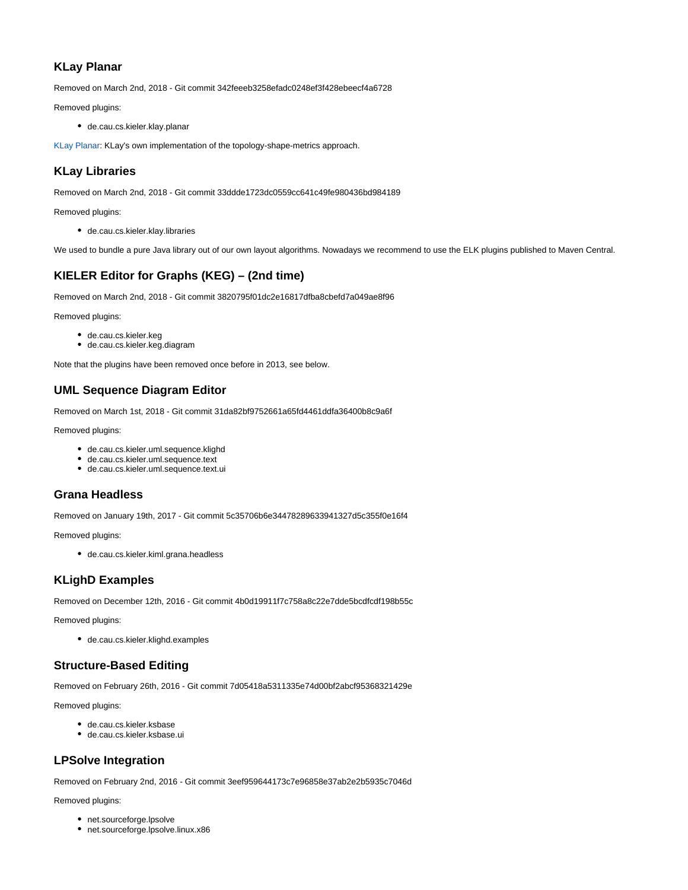#### **KLay Planar**

Removed on March 2nd, 2018 - Git commit 342feeeb3258efadc0248ef3f428ebeecf4a6728

Removed plugins:

de.cau.cs.kieler.klay.planar

[KLay Planar:](https://rtsys.informatik.uni-kiel.de/confluence/display/KIELER/KLay+Planar) KLay's own implementation of the topology-shape-metrics approach.

# **KLay Libraries**

Removed on March 2nd, 2018 - Git commit 33ddde1723dc0559cc641c49fe980436bd984189

Removed plugins:

de.cau.cs.kieler.klay.libraries

We used to bundle a pure Java library out of our own layout algorithms. Nowadays we recommend to use the ELK plugins published to Maven Central.

# **KIELER Editor for Graphs (KEG) – (2nd time)**

Removed on March 2nd, 2018 - Git commit 3820795f01dc2e16817dfba8cbefd7a049ae8f96

Removed plugins:

- de.cau.cs.kieler.keg
- de.cau.cs.kieler.keg.diagram

Note that the plugins have been removed once before in 2013, see below.

# **UML Sequence Diagram Editor**

Removed on March 1st, 2018 - Git commit 31da82bf9752661a65fd4461ddfa36400b8c9a6f

Removed plugins:

- de.cau.cs.kieler.uml.sequence.klighd
- de.cau.cs.kieler.uml.sequence.text
- de.cau.cs.kieler.uml.sequence.text.ui

# **Grana Headless**

Removed on January 19th, 2017 - Git commit 5c35706b6e34478289633941327d5c355f0e16f4

Removed plugins:

de.cau.cs.kieler.kiml.grana.headless

# **KLighD Examples**

Removed on December 12th, 2016 - Git commit 4b0d19911f7c758a8c22e7dde5bcdfcdf198b55c

Removed plugins:

de.cau.cs.kieler.klighd.examples

#### **Structure-Based Editing**

Removed on February 26th, 2016 - Git commit 7d05418a5311335e74d00bf2abcf95368321429e

Removed plugins:

- de.cau.cs.kieler.ksbase
- de.cau.cs.kieler.ksbase.ui

# **LPSolve Integration**

Removed on February 2nd, 2016 - Git commit 3eef959644173c7e96858e37ab2e2b5935c7046d

- net.sourceforge.lpsolve
- net.sourceforge.lpsolve.linux.x86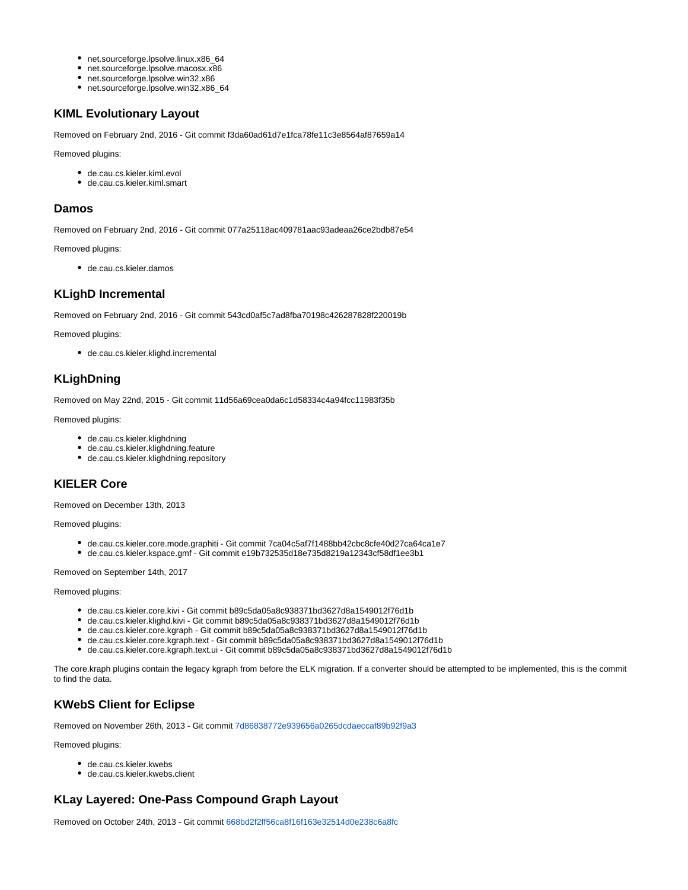- net.sourceforge.lpsolve.linux.x86\_64
- net.sourceforge.lpsolve.macosx.x86
- net.sourceforge.lpsolve.win32.x86
- net.sourceforge.lpsolve.win32.x86\_64

## **KIML Evolutionary Layout**

Removed on February 2nd, 2016 - Git commit f3da60ad61d7e1fca78fe11c3e8564af87659a14

Removed plugins:

- de.cau.cs.kieler.kiml.evol
- de.cau.cs.kieler.kiml.smart

#### **Damos**

Removed on February 2nd, 2016 - Git commit 077a25118ac409781aac93adeaa26ce2bdb87e54

Removed plugins:

de.cau.cs.kieler.damos

#### **KLighD Incremental**

Removed on February 2nd, 2016 - Git commit 543cd0af5c7ad8fba70198c426287828f220019b

Removed plugins:

de.cau.cs.kieler.klighd.incremental

## **KLighDning**

Removed on May 22nd, 2015 - Git commit 11d56a69cea0da6c1d58334c4a94fcc11983f35b

Removed plugins:

- de.cau.cs.kieler.klighdning
- de.cau.cs.kieler.klighdning.feature
- de.cau.cs.kieler.klighdning.repository

#### **KIELER Core**

Removed on December 13th, 2013

Removed plugins:

- de.cau.cs.kieler.core.mode.graphiti Git commit 7ca04c5af7f1488bb42cbc8cfe40d27ca64ca1e7
- de.cau.cs.kieler.kspace.gmf Git commit e19b732535d18e735d8219a12343cf58df1ee3b1

Removed on September 14th, 2017

Removed plugins:

- de.cau.cs.kieler.core.kivi Git commit b89c5da05a8c938371bd3627d8a1549012f76d1b
- de.cau.cs.kieler.klighd.kivi Git commit b89c5da05a8c938371bd3627d8a1549012f76d1b
- de.cau.cs.kieler.core.kgraph Git commit b89c5da05a8c938371bd3627d8a1549012f76d1b
- de.cau.cs.kieler.core.kgraph.text Git commit b89c5da05a8c938371bd3627d8a1549012f76d1b
- de.cau.cs.kieler.core.kgraph.text.ui Git commit b89c5da05a8c938371bd3627d8a1549012f76d1b

The core.kraph plugins contain the legacy kgraph from before the ELK migration. If a converter should be attempted to be implemented, this is the commit to find the data.

# **KWebS Client for Eclipse**

Removed on November 26th, 2013 - Git commit [7d86838772e939656a0265dcdaeccaf89b92f9a3](http://rtsys.informatik.uni-kiel.de/fisheye/changelog/kieler-pragmatics?cs=7d86838772e939656a0265dcdaeccaf89b92f9a3)

Removed plugins:

- de.cau.cs.kieler.kwebs
- de.cau.cs.kieler.kwebs.client

# **KLay Layered: One-Pass Compound Graph Layout**

Removed on October 24th, 2013 - Git commit [668bd2f2ff56ca8f16f163e32514d0e238c6a8fc](http://rtsys.informatik.uni-kiel.de/fisheye/changelog/kieler-pragmatics?cs=668bd2f2ff56ca8f16f163e32514d0e238c6a8fc)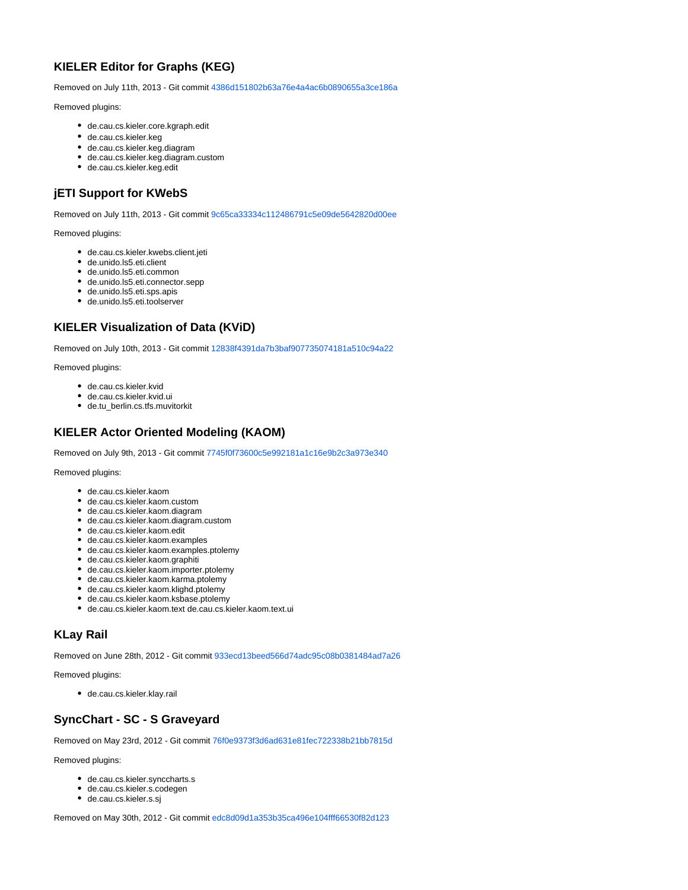# **KIELER Editor for Graphs (KEG)**

Removed on July 11th, 2013 - Git commit [4386d151802b63a76e4a4ac6b0890655a3ce186a](http://rtsys.informatik.uni-kiel.de/fisheye/changelog/kieler-pragmatics?cs=4386d151802b63a76e4a4ac6b0890655a3ce186a)

Removed plugins:

- de.cau.cs.kieler.core.kgraph.edit
- de.cau.cs.kieler.keg
- de.cau.cs.kieler.keg.diagram
- de.cau.cs.kieler.keg.diagram.custom
- de.cau.cs.kieler.keg.edit

## **jETI Support for KWebS**

Removed on July 11th, 2013 - Git commit [9c65ca33334c112486791c5e09de5642820d00ee](http://rtsys.informatik.uni-kiel.de/fisheye/changelog/kieler-pragmatics?cs=9c65ca33334c112486791c5e09de5642820d00ee)

Removed plugins:

- de.cau.cs.kieler.kwebs.client.jeti
- de.unido.ls5.eti.client
- de.unido.ls5.eti.common
- de.unido.ls5.eti.connector.sepp
- de.unido.ls5.eti.sps.apis
- de.unido.ls5.eti.toolserver

# **KIELER Visualization of Data (KViD)**

Removed on July 10th, 2013 - Git commit [12838f4391da7b3baf907735074181a510c94a22](http://rtsys.informatik.uni-kiel.de/fisheye/changelog/kieler-semantics?cs=12838f4391da7b3baf907735074181a510c94a22)

Removed plugins:

- de.cau.cs.kieler.kvid
- de.cau.cs.kieler.kvid.ui
- de.tu\_berlin.cs.tfs.muvitorkit

#### **KIELER Actor Oriented Modeling (KAOM)**

Removed on July 9th, 2013 - Git commit [7745f0f73600c5e992181a1c16e9b2c3a973e340](http://rtsys.informatik.uni-kiel.de/fisheye/changelog/kieler-pragmatics?cs=7745f0f73600c5e992181a1c16e9b2c3a973e340)

Removed plugins:

- de.cau.cs.kieler.kaom
- de.cau.cs.kieler.kaom.custom
- de.cau.cs.kieler.kaom.diagram
- de.cau.cs.kieler.kaom.diagram.custom
- de.cau.cs.kieler.kaom.edit
- de.cau.cs.kieler.kaom.examples
- de.cau.cs.kieler.kaom.examples.ptolemy
- de.cau.cs.kieler.kaom.graphiti
- de.cau.cs.kieler.kaom.importer.ptolemy
- de.cau.cs.kieler.kaom.karma.ptolemy
- de.cau.cs.kieler.kaom.klighd.ptolemy
- de.cau.cs.kieler.kaom.ksbase.ptolemy
- de.cau.cs.kieler.kaom.text de.cau.cs.kieler.kaom.text.ui

# **KLay Rail**

Removed on June 28th, 2012 - Git commit [933ecd13beed566d74adc95c08b0381484ad7a26](http://rtsys.informatik.uni-kiel.de/fisheye/changelog/kieler?cs=933ecd13beed566d74adc95c08b0381484ad7a26)

Removed plugins:

de.cau.cs.kieler.klay.rail

# **SyncChart - SC - S Graveyard**

Removed on May 23rd, 2012 - Git commit [76f0e9373f3d6ad631e81fec722338b21bb7815d](http://rtsys.informatik.uni-kiel.de/fisheye/changelog/kieler?cs=76f0e9373f3d6ad631e81fec722338b21bb7815d)

Removed plugins:

- de.cau.cs.kieler.synccharts.s
- de.cau.cs.kieler.s.codegen
- de.cau.cs.kieler.s.sj

Removed on May 30th, 2012 - Git commit [edc8d09d1a353b35ca496e104fff66530f82d123](http://rtsys.informatik.uni-kiel.de/fisheye/changelog/kieler?cs=edc8d09d1a353b35ca496e104fff66530f82d123)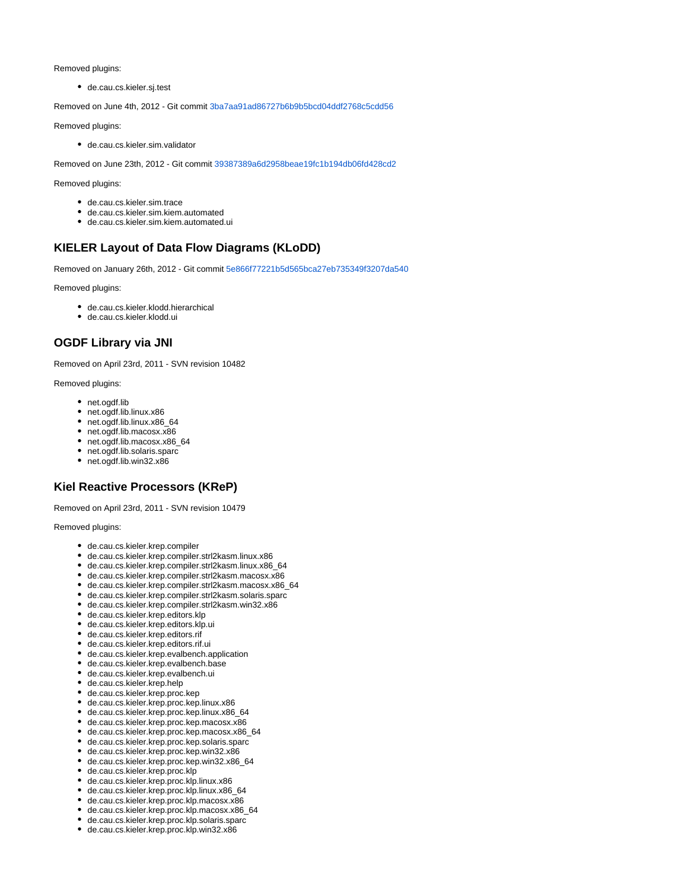Removed plugins:

de.cau.cs.kieler.sj.test

Removed on June 4th, 2012 - Git commit [3ba7aa91ad86727b6b9b5bcd04ddf2768c5cdd56](http://rtsys.informatik.uni-kiel.de/fisheye/changelog/kieler?cs=3ba7aa91ad86727b6b9b5bcd04ddf2768c5cdd56)

Removed plugins:

de.cau.cs.kieler.sim.validator

Removed on June 23th, 2012 - Git commit [39387389a6d2958beae19fc1b194db06fd428cd2](http://rtsys.informatik.uni-kiel.de/fisheye/changelog/kieler?cs=39387389a6d2958beae19fc1b194db06fd428cd2)

Removed plugins:

- de.cau.cs.kieler.sim.trace
- de.cau.cs.kieler.sim.kiem.automated
- de.cau.cs.kieler.sim.kiem.automated.ui

# **KIELER Layout of Data Flow Diagrams (KLoDD)**

Removed on January 26th, 2012 - Git commit [5e866f77221b5d565bca27eb735349f3207da540](http://rtsys.informatik.uni-kiel.de/fisheye/changelog/kieler?cs=5e866f77221b5d565bca27eb735349f3207da540)

Removed plugins:

- de.cau.cs.kieler.klodd.hierarchical
- de.cau.cs.kieler.klodd.ui

## **OGDF Library via JNI**

Removed on April 23rd, 2011 - SVN revision 10482

Removed plugins:

- net.ogdf.lib
- net.ogdf.lib.linux.x86
- net.ogdf.lib.linux.x86\_64
- net.ogdf.lib.macosx.x86
- net.ogdf.lib.macosx.x86\_64
- net.ogdf.lib.solaris.sparc
- net.ogdf.lib.win32.x86

# **Kiel Reactive Processors (KReP)**

Removed on April 23rd, 2011 - SVN revision 10479

- de.cau.cs.kieler.krep.compiler
- de.cau.cs.kieler.krep.compiler.strl2kasm.linux.x86
- de.cau.cs.kieler.krep.compiler.strl2kasm.linux.x86\_64
- de.cau.cs.kieler.krep.compiler.strl2kasm.macosx.x86
- de.cau.cs.kieler.krep.compiler.strl2kasm.macosx.x86\_64
- de.cau.cs.kieler.krep.compiler.strl2kasm.solaris.sparc
- de.cau.cs.kieler.krep.compiler.strl2kasm.win32.x86
- de.cau.cs.kieler.krep.editors.klp
- de.cau.cs.kieler.krep.editors.klp.ui
- de.cau.cs.kieler.krep.editors.rif
- de.cau.cs.kieler.krep.editors.rif.ui
- de.cau.cs.kieler.krep.evalbench.application
- de.cau.cs.kieler.krep.evalbench.base
- de.cau.cs.kieler.krep.evalbench.ui
- de.cau.cs.kieler.krep.help
- de.cau.cs.kieler.krep.proc.kep
- de.cau.cs.kieler.krep.proc.kep.linux.x86
- de.cau.cs.kieler.krep.proc.kep.linux.x86\_64
- de.cau.cs.kieler.krep.proc.kep.macosx.x86
- de.cau.cs.kieler.krep.proc.kep.macosx.x86\_64
- de.cau.cs.kieler.krep.proc.kep.solaris.sparc
- de.cau.cs.kieler.krep.proc.kep.win32.x86
- de.cau.cs.kieler.krep.proc.kep.win32.x86\_64
- de.cau.cs.kieler.krep.proc.klp
- de.cau.cs.kieler.krep.proc.klp.linux.x86
- de.cau.cs.kieler.krep.proc.klp.linux.x86\_64
- de.cau.cs.kieler.krep.proc.klp.macosx.x86
- de.cau.cs.kieler.krep.proc.klp.macosx.x86\_64
- de.cau.cs.kieler.krep.proc.klp.solaris.sparc
- de.cau.cs.kieler.krep.proc.klp.win32.x86